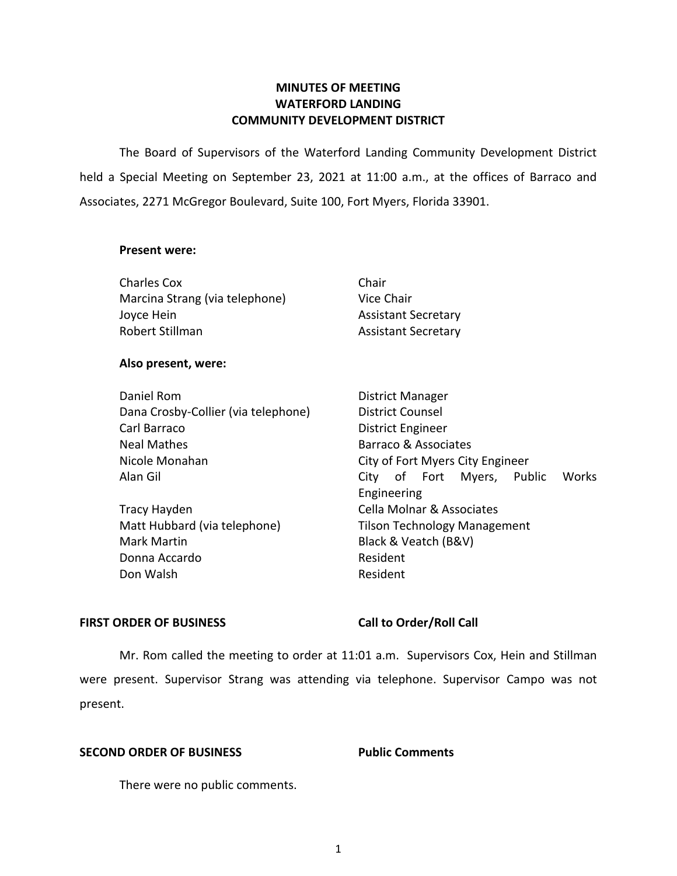# **MINUTES OF MEETING WATERFORD LANDING COMMUNITY DEVELOPMENT DISTRICT**

 The Board of Supervisors of the Waterford Landing Community Development District held a Special Meeting on September 23, 2021 at 11:00 a.m., at the offices of Barraco and Associates, 2271 McGregor Boulevard, Suite 100, Fort Myers, Florida 33901.

### **Present were:**

| <b>Charles Cox</b>             | Chair                      |
|--------------------------------|----------------------------|
| Marcina Strang (via telephone) | Vice Chair                 |
| Joyce Hein                     | <b>Assistant Secretary</b> |
| Robert Stillman                | <b>Assistant Secretary</b> |
|                                |                            |
| $\blacksquare$                 |                            |

## **Also present, were:**

| City of Fort Myers City Engineer |
|----------------------------------|
| City of Fort Myers, Pub          |
|                                  |

Matt Hubbard (via telephone) Mark Martin **Mark Martin Black & Veatch (B&V)** Tracy Hayden **Cella Molnar & Associates** Donna Accardo **Resident** Don Walsh **Resident** 

 Alan Gil City of Fort Myers, Public Works District Manager District Counsel Barraco & Associates Engineering Tilson Technology Management

## FIRST ORDER OF BUSINESS Call to Order/Roll Call

 Mr. Rom called the meeting to order at 11:01 a.m. Supervisors Cox, Hein and Stillman were present. Supervisor Strang was attending via telephone. Supervisor Campo was not present.

## **SECOND ORDER OF BUSINESS Public Comments**

There were no public comments.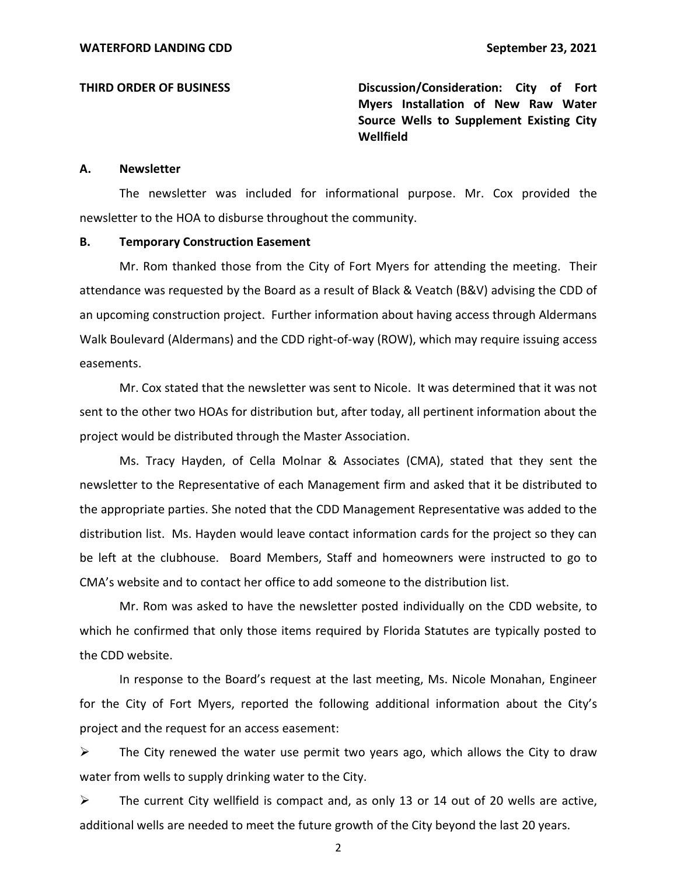**THIRD ORDER OF BUSINESS Discussion/Consideration: City of Fort Myers Installation of New Raw Water Source Wells to Supplement Existing City Wellfield** 

### **A. Newsletter**

 The newsletter was included for informational purpose. Mr. Cox provided the newsletter to the HOA to disburse throughout the community.

### **B. Temporary Construction Easement**

 Mr. Rom thanked those from the City of Fort Myers for attending the meeting. Their an upcoming construction project. Further information about having access through Aldermans attendance was requested by the Board as a result of Black & Veatch (B&V) advising the CDD of Walk Boulevard (Aldermans) and the CDD right-of-way (ROW), which may require issuing access easements.

 Mr. Cox stated that the newsletter was sent to Nicole. It was determined that it was not sent to the other two HOAs for distribution but, after today, all pertinent information about the project would be distributed through the Master Association.

 Ms. Tracy Hayden, of Cella Molnar & Associates (CMA), stated that they sent the newsletter to the Representative of each Management firm and asked that it be distributed to the appropriate parties. She noted that the CDD Management Representative was added to the distribution list. Ms. Hayden would leave contact information cards for the project so they can be left at the clubhouse. Board Members, Staff and homeowners were instructed to go to CMA's website and to contact her office to add someone to the distribution list.

 Mr. Rom was asked to have the newsletter posted individually on the CDD website, to which he confirmed that only those items required by Florida Statutes are typically posted to the CDD website.

 In response to the Board's request at the last meeting, Ms. Nicole Monahan, Engineer for the City of Fort Myers, reported the following additional information about the City's project and the request for an access easement:

 $\triangleright$  The City renewed the water use permit two years ago, which allows the City to draw water from wells to supply drinking water to the City.

 $\triangleright$  The current City wellfield is compact and, as only 13 or 14 out of 20 wells are active, additional wells are needed to meet the future growth of the City beyond the last 20 years.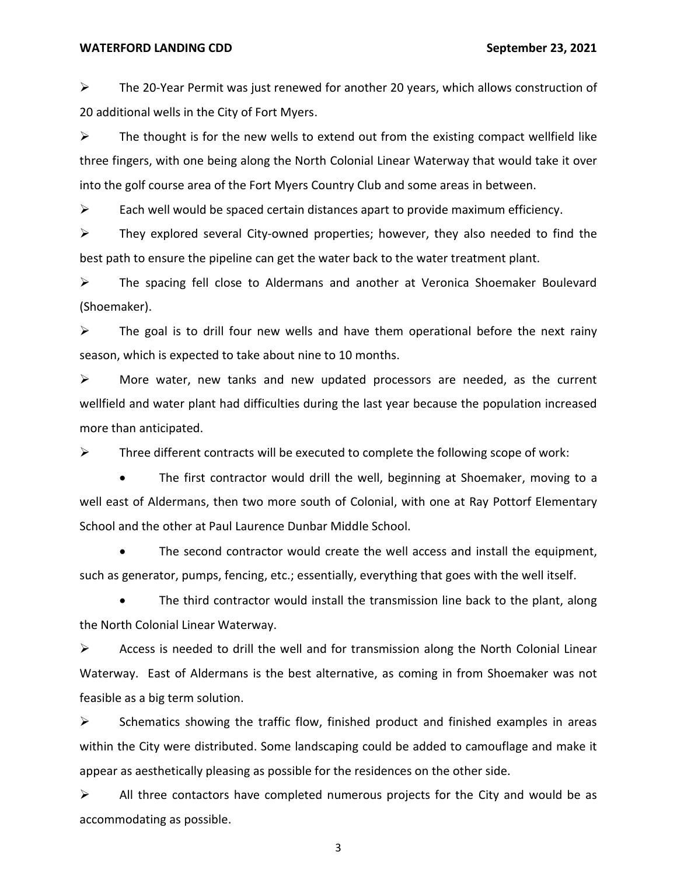$\triangleright$  The 20-Year Permit was just renewed for another 20 years, which allows construction of 20 additional wells in the City of Fort Myers.

 $\triangleright$  The thought is for the new wells to extend out from the existing compact wellfield like into the golf course area of the Fort Myers Country Club and some areas in between. three fingers, with one being along the North Colonial Linear Waterway that would take it over

 $\triangleright$  Each well would be spaced certain distances apart to provide maximum efficiency.

 best path to ensure the pipeline can get the water back to the water treatment plant.  $\triangleright$  They explored several City-owned properties; however, they also needed to find the

 ➢ The spacing fell close to Aldermans and another at Veronica Shoemaker Boulevard (Shoemaker).

 $\triangleright$  The goal is to drill four new wells and have them operational before the next rainy season, which is expected to take about nine to 10 months.

 ➢ More water, new tanks and new updated processors are needed, as the current wellfield and water plant had difficulties during the last year because the population increased more than anticipated.

 $\triangleright$  Three different contracts will be executed to complete the following scope of work:

 • The first contractor would drill the well, beginning at Shoemaker, moving to a well east of Aldermans, then two more south of Colonial, with one at Ray Pottorf Elementary School and the other at Paul Laurence Dunbar Middle School.

 • The second contractor would create the well access and install the equipment, such as generator, pumps, fencing, etc.; essentially, everything that goes with the well itself.

 • The third contractor would install the transmission line back to the plant, along the North Colonial Linear Waterway.

 $\triangleright$  Access is needed to drill the well and for transmission along the North Colonial Linear Waterway. East of Aldermans is the best alternative, as coming in from Shoemaker was not feasible as a big term solution.

 $\triangleright$  Schematics showing the traffic flow, finished product and finished examples in areas within the City were distributed. Some landscaping could be added to camouflage and make it appear as aesthetically pleasing as possible for the residences on the other side.

 $\triangleright$  All three contactors have completed numerous projects for the City and would be as accommodating as possible.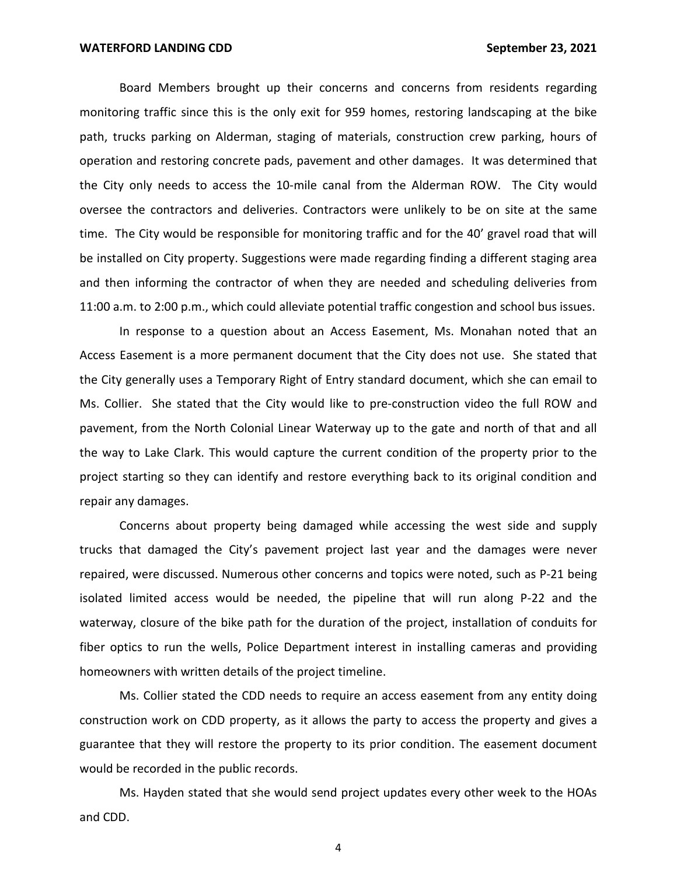Board Members brought up their concerns and concerns from residents regarding monitoring traffic since this is the only exit for 959 homes, restoring landscaping at the bike operation and restoring concrete pads, pavement and other damages. It was determined that oversee the contractors and deliveries. Contractors were unlikely to be on site at the same time. The City would be responsible for monitoring traffic and for the 40' gravel road that will and then informing the contractor of when they are needed and scheduling deliveries from 11:00 a.m. to 2:00 p.m., which could alleviate potential traffic congestion and school bus issues. path, trucks parking on Alderman, staging of materials, construction crew parking, hours of the City only needs to access the 10-mile canal from the Alderman ROW. The City would be installed on City property. Suggestions were made regarding finding a different staging area

 In response to a question about an Access Easement, Ms. Monahan noted that an the City generally uses a Temporary Right of Entry standard document, which she can email to pavement, from the North Colonial Linear Waterway up to the gate and north of that and all the way to Lake Clark. This would capture the current condition of the property prior to the project starting so they can identify and restore everything back to its original condition and Access Easement is a more permanent document that the City does not use. She stated that Ms. Collier. She stated that the City would like to pre-construction video the full ROW and repair any damages.

 Concerns about property being damaged while accessing the west side and supply trucks that damaged the City's pavement project last year and the damages were never waterway, closure of the bike path for the duration of the project, installation of conduits for homeowners with written details of the project timeline. repaired, were discussed. Numerous other concerns and topics were noted, such as P-21 being isolated limited access would be needed, the pipeline that will run along P-22 and the fiber optics to run the wells, Police Department interest in installing cameras and providing

 Ms. Collier stated the CDD needs to require an access easement from any entity doing construction work on CDD property, as it allows the party to access the property and gives a guarantee that they will restore the property to its prior condition. The easement document would be recorded in the public records.

 Ms. Hayden stated that she would send project updates every other week to the HOAs and CDD.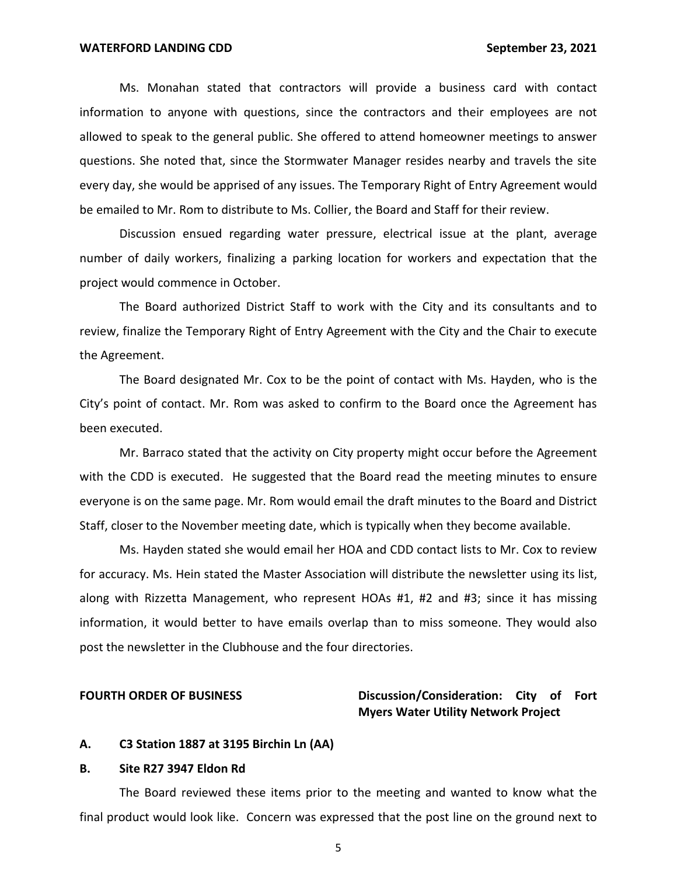Ms. Monahan stated that contractors will provide a business card with contact information to anyone with questions, since the contractors and their employees are not allowed to speak to the general public. She offered to attend homeowner meetings to answer questions. She noted that, since the Stormwater Manager resides nearby and travels the site every day, she would be apprised of any issues. The Temporary Right of Entry Agreement would be emailed to Mr. Rom to distribute to Ms. Collier, the Board and Staff for their review.

 Discussion ensued regarding water pressure, electrical issue at the plant, average number of daily workers, finalizing a parking location for workers and expectation that the project would commence in October.

 The Board authorized District Staff to work with the City and its consultants and to review, finalize the Temporary Right of Entry Agreement with the City and the Chair to execute the Agreement.

 The Board designated Mr. Cox to be the point of contact with Ms. Hayden, who is the City's point of contact. Mr. Rom was asked to confirm to the Board once the Agreement has been executed.

 Mr. Barraco stated that the activity on City property might occur before the Agreement everyone is on the same page. Mr. Rom would email the draft minutes to the Board and District Staff, closer to the November meeting date, which is typically when they become available. with the CDD is executed. He suggested that the Board read the meeting minutes to ensure

 Ms. Hayden stated she would email her HOA and CDD contact lists to Mr. Cox to review for accuracy. Ms. Hein stated the Master Association will distribute the newsletter using its list, along with Rizzetta Management, who represent HOAs #1, #2 and #3; since it has missing information, it would better to have emails overlap than to miss someone. They would also post the newsletter in the Clubhouse and the four directories.

## **FOURTH ORDER OF BUSINESS** Discussion/Consideration: City of Fort **Myers Water Utility Network Project**

### **A. C3 Station 1887 at 3195 Birchin Ln (AA)**

### **B. Site R27 3947 Eldon Rd**

 The Board reviewed these items prior to the meeting and wanted to know what the final product would look like. Concern was expressed that the post line on the ground next to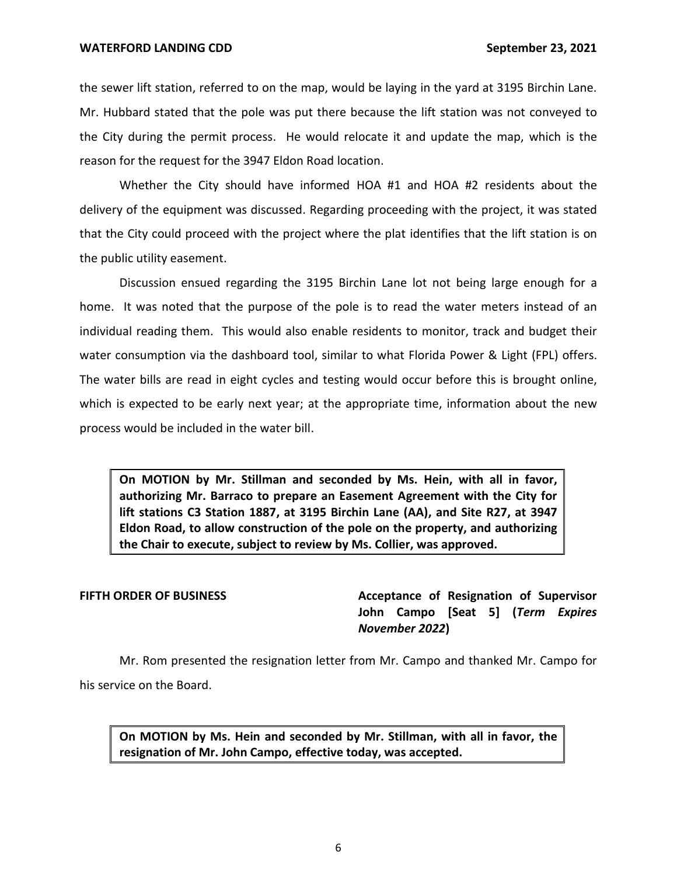the sewer lift station, referred to on the map, would be laying in the yard at 3195 Birchin Lane. Mr. Hubbard stated that the pole was put there because the lift station was not conveyed to the City during the permit process. He would relocate it and update the map, which is the reason for the request for the 3947 Eldon Road location.

 Whether the City should have informed HOA #1 and HOA #2 residents about the delivery of the equipment was discussed. Regarding proceeding with the project, it was stated that the City could proceed with the project where the plat identifies that the lift station is on the public utility easement.

 Discussion ensued regarding the 3195 Birchin Lane lot not being large enough for a home. It was noted that the purpose of the pole is to read the water meters instead of an individual reading them. This would also enable residents to monitor, track and budget their water consumption via the dashboard tool, similar to what Florida Power & Light (FPL) offers. The water bills are read in eight cycles and testing would occur before this is brought online, which is expected to be early next year; at the appropriate time, information about the new process would be included in the water bill.

 **On MOTION by Mr. Stillman and seconded by Ms. Hein, with all in favor, authorizing Mr. Barraco to prepare an Easement Agreement with the City for lift stations C3 Station 1887, at 3195 Birchin Lane (AA), and Site R27, at 3947 Eldon Road, to allow construction of the pole on the property, and authorizing the Chair to execute, subject to review by Ms. Collier, was approved.** 

**FIFTH ORDER OF BUSINESS Acceptance of Resignation of Supervisor**  **John Campo [Seat 5] (***Term Expires November 2022***)** 

 Mr. Rom presented the resignation letter from Mr. Campo and thanked Mr. Campo for his service on the Board.

 **On MOTION by Ms. Hein and seconded by Mr. Stillman, with all in favor, the resignation of Mr. John Campo, effective today, was accepted.**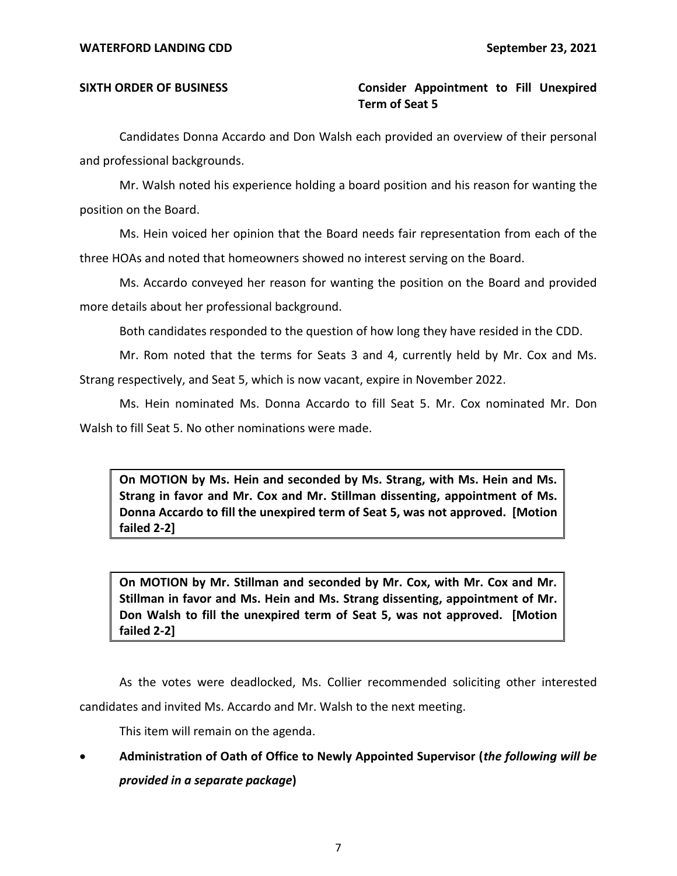# SIXTH ORDER OF BUSINESS **Consider Appointment to Fill Unexpired Term of Seat 5**

 Candidates Donna Accardo and Don Walsh each provided an overview of their personal and professional backgrounds.

 Mr. Walsh noted his experience holding a board position and his reason for wanting the position on the Board.

 Ms. Hein voiced her opinion that the Board needs fair representation from each of the three HOAs and noted that homeowners showed no interest serving on the Board.

 Ms. Accardo conveyed her reason for wanting the position on the Board and provided more details about her professional background.

Both candidates responded to the question of how long they have resided in the CDD.

 Mr. Rom noted that the terms for Seats 3 and 4, currently held by Mr. Cox and Ms. Strang respectively, and Seat 5, which is now vacant, expire in November 2022.

 Ms. Hein nominated Ms. Donna Accardo to fill Seat 5. Mr. Cox nominated Mr. Don Walsh to fill Seat 5. No other nominations were made.

 **On MOTION by Ms. Hein and seconded by Ms. Strang, with Ms. Hein and Ms. Strang in favor and Mr. Cox and Mr. Stillman dissenting, appointment of Ms. Donna Accardo to fill the unexpired term of Seat 5, was not approved. [Motion failed 2-2]** 

 **On MOTION by Mr. Stillman and seconded by Mr. Cox, with Mr. Cox and Mr. Stillman in favor and Ms. Hein and Ms. Strang dissenting, appointment of Mr. Don Walsh to fill the unexpired term of Seat 5, was not approved. [Motion failed 2-2]** 

 As the votes were deadlocked, Ms. Collier recommended soliciting other interested candidates and invited Ms. Accardo and Mr. Walsh to the next meeting.

This item will remain on the agenda.

 • **Administration of Oath of Office to Newly Appointed Supervisor (***the following will be provided in a separate package***)**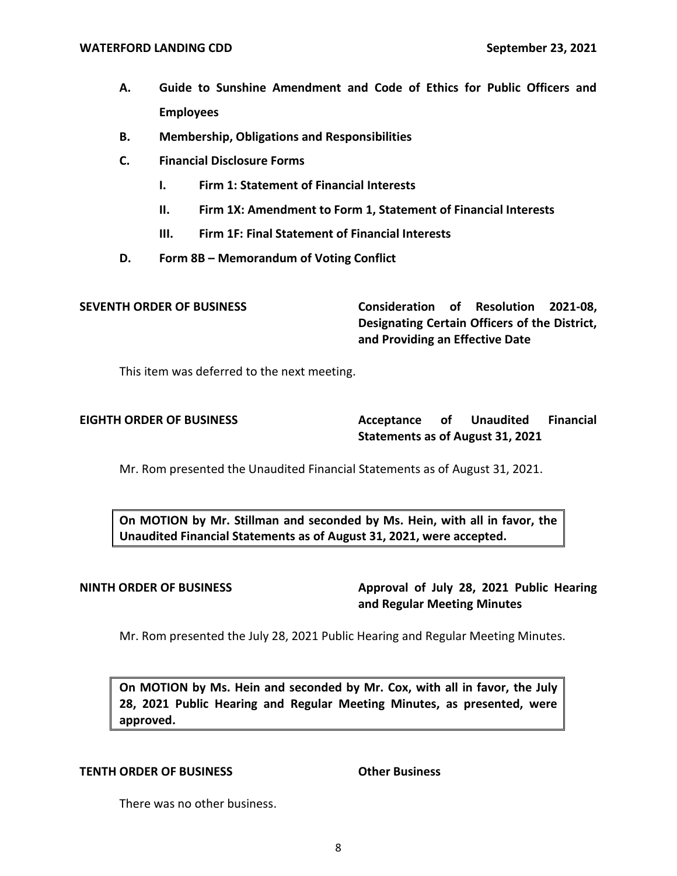- **A. Guide to Sunshine Amendment and Code of Ethics for Public Officers and Employees**
- **B. Membership, Obligations and Responsibilities**
- **C. Financial Disclosure Forms** 
	- **I. Firm 1: Statement of Financial Interests**
	- **II. Firm 1X: Amendment to Form 1, Statement of Financial Interests**
	- **III. Firm 1F: Final Statement of Financial Interests**
- **D. Form 8B – Memorandum of Voting Conflict**

 **SEVENTH ORDER OF BUSINESS Consideration of Resolution 2021-08, Designating Certain Officers of the District, and Providing an Effective Date** 

This item was deferred to the next meeting.

Acceptance of  **Statements as of August 31, 2021 EIGHTH ORDER OF BUSINESS Acceptance of Unaudited Financial** 

Mr. Rom presented the Unaudited Financial Statements as of August 31, 2021.

 **On MOTION by Mr. Stillman and seconded by Ms. Hein, with all in favor, the Unaudited Financial Statements as of August 31, 2021, were accepted.** 

**NINTH ORDER OF BUSINESS Approval of July 28, 2021 Public Hearing and Regular Meeting Minutes** 

Mr. Rom presented the July 28, 2021 Public Hearing and Regular Meeting Minutes.

 **On MOTION by Ms. Hein and seconded by Mr. Cox, with all in favor, the July 28, 2021 Public Hearing and Regular Meeting Minutes, as presented, were approved.** 

## **TENTH ORDER OF BUSINESS Other Business**

There was no other business.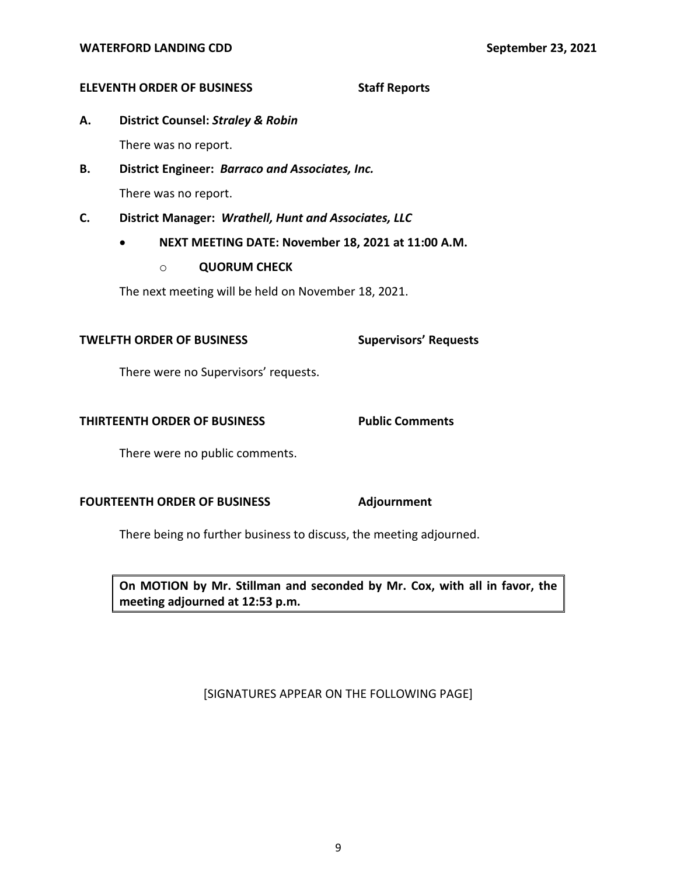### **ELEVENTH ORDER OF BUSINESS Staff Reports**

**A. District Counsel:** *Straley & Robin* 

There was no report.

- There was no report. **B. District Engineer:** *Barraco and Associates, Inc.*
- **C. District Manager:** *Wrathell, Hunt and Associates, LLC* 
	- **NEXT MEETING DATE: November 18, 2021 at 11:00 A.M.** 
		- o **QUORUM CHECK**

The next meeting will be held on November 18, 2021.

## **TWELFTH ORDER OF BUSINESS Supervisors' Requests**

There were no Supervisors' requests.

### **THIRTEENTH ORDER OF BUSINESS Public Comments**

There were no public comments.

## **FOURTEENTH ORDER OF BUSINESS Adjournment**

There being no further business to discuss, the meeting adjourned.

 **On MOTION by Mr. Stillman and seconded by Mr. Cox, with all in favor, the meeting adjourned at 12:53 p.m.** 

## [SIGNATURES APPEAR ON THE FOLLOWING PAGE]